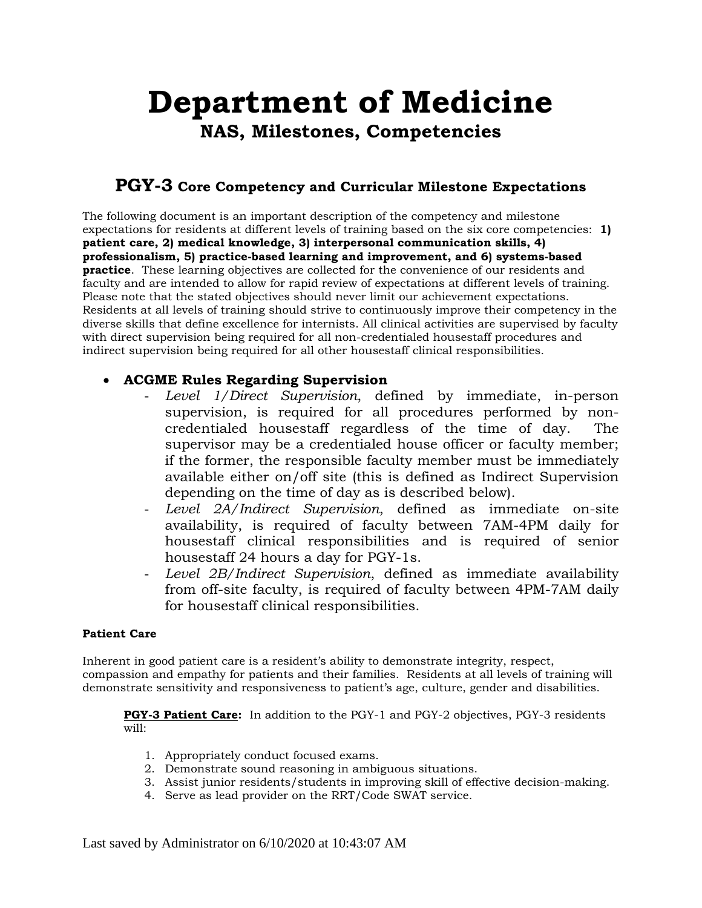# **Department of Medicine NAS, Milestones, Competencies**

## **PGY-3 Core Competency and Curricular Milestone Expectations**

The following document is an important description of the competency and milestone expectations for residents at different levels of training based on the six core competencies: **1) patient care, 2) medical knowledge, 3) interpersonal communication skills, 4) professionalism, 5) practice-based learning and improvement, and 6) systems-based practice**. These learning objectives are collected for the convenience of our residents and faculty and are intended to allow for rapid review of expectations at different levels of training. Please note that the stated objectives should never limit our achievement expectations. Residents at all levels of training should strive to continuously improve their competency in the diverse skills that define excellence for internists. All clinical activities are supervised by faculty with direct supervision being required for all non-credentialed housestaff procedures and indirect supervision being required for all other housestaff clinical responsibilities.

#### • **ACGME Rules Regarding Supervision**

- *Level 1/Direct Supervision*, defined by immediate, in-person supervision, is required for all procedures performed by noncredentialed housestaff regardless of the time of day. The supervisor may be a credentialed house officer or faculty member; if the former, the responsible faculty member must be immediately available either on/off site (this is defined as Indirect Supervision depending on the time of day as is described below).
- *Level 2A/Indirect Supervision*, defined as immediate on-site availability, is required of faculty between 7AM-4PM daily for housestaff clinical responsibilities and is required of senior housestaff 24 hours a day for PGY-1s.
- *Level 2B/Indirect Supervision*, defined as immediate availability from off-site faculty, is required of faculty between 4PM-7AM daily for housestaff clinical responsibilities.

#### **Patient Care**

Inherent in good patient care is a resident's ability to demonstrate integrity, respect, compassion and empathy for patients and their families. Residents at all levels of training will demonstrate sensitivity and responsiveness to patient's age, culture, gender and disabilities.

**PGY-3 Patient Care:** In addition to the PGY-1 and PGY-2 objectives, PGY-3 residents will:

- 1. Appropriately conduct focused exams.
- 2. Demonstrate sound reasoning in ambiguous situations.
- 3. Assist junior residents/students in improving skill of effective decision-making.
- 4. Serve as lead provider on the RRT/Code SWAT service.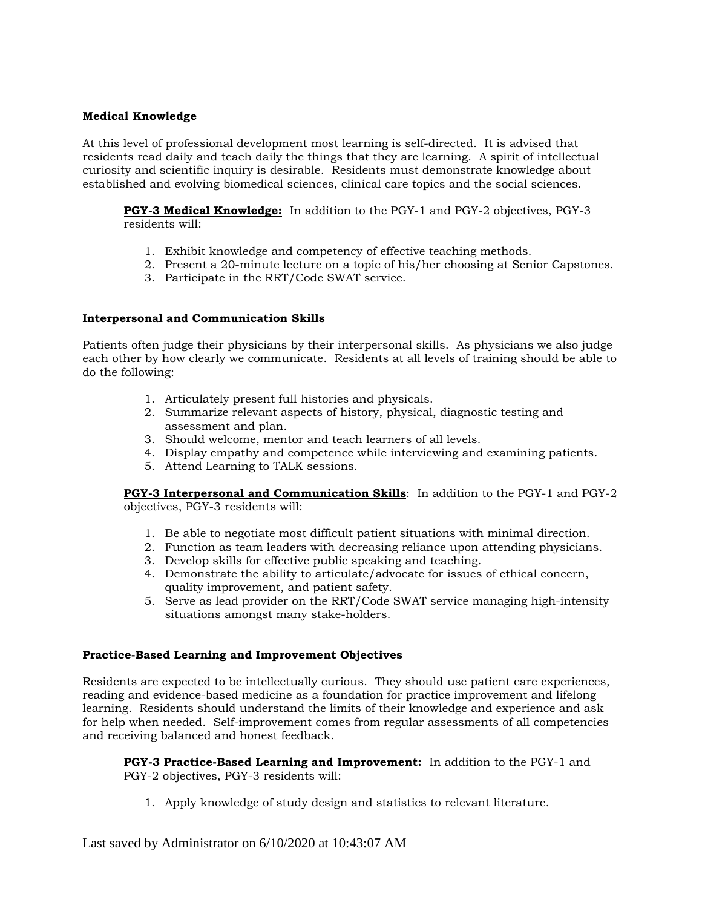#### **Medical Knowledge**

At this level of professional development most learning is self-directed. It is advised that residents read daily and teach daily the things that they are learning. A spirit of intellectual curiosity and scientific inquiry is desirable. Residents must demonstrate knowledge about established and evolving biomedical sciences, clinical care topics and the social sciences.

**PGY-3 Medical Knowledge:** In addition to the PGY-1 and PGY-2 objectives, PGY-3 residents will:

- 1. Exhibit knowledge and competency of effective teaching methods.
- 2. Present a 20-minute lecture on a topic of his/her choosing at Senior Capstones.
- 3. Participate in the RRT/Code SWAT service.

#### **Interpersonal and Communication Skills**

Patients often judge their physicians by their interpersonal skills. As physicians we also judge each other by how clearly we communicate. Residents at all levels of training should be able to do the following:

- 1. Articulately present full histories and physicals.
- 2. Summarize relevant aspects of history, physical, diagnostic testing and assessment and plan.
- 3. Should welcome, mentor and teach learners of all levels.
- 4. Display empathy and competence while interviewing and examining patients.
- 5. Attend Learning to TALK sessions.

**PGY-3 Interpersonal and Communication Skills**: In addition to the PGY-1 and PGY-2 objectives, PGY-3 residents will:

- 1. Be able to negotiate most difficult patient situations with minimal direction.
- 2. Function as team leaders with decreasing reliance upon attending physicians.
- 3. Develop skills for effective public speaking and teaching.
- 4. Demonstrate the ability to articulate/advocate for issues of ethical concern, quality improvement, and patient safety.
- 5. Serve as lead provider on the RRT/Code SWAT service managing high-intensity situations amongst many stake-holders.

#### **Practice-Based Learning and Improvement Objectives**

Residents are expected to be intellectually curious. They should use patient care experiences, reading and evidence-based medicine as a foundation for practice improvement and lifelong learning. Residents should understand the limits of their knowledge and experience and ask for help when needed. Self-improvement comes from regular assessments of all competencies and receiving balanced and honest feedback.

**PGY-3 Practice-Based Learning and Improvement:** In addition to the PGY-1 and PGY-2 objectives, PGY-3 residents will:

1. Apply knowledge of study design and statistics to relevant literature.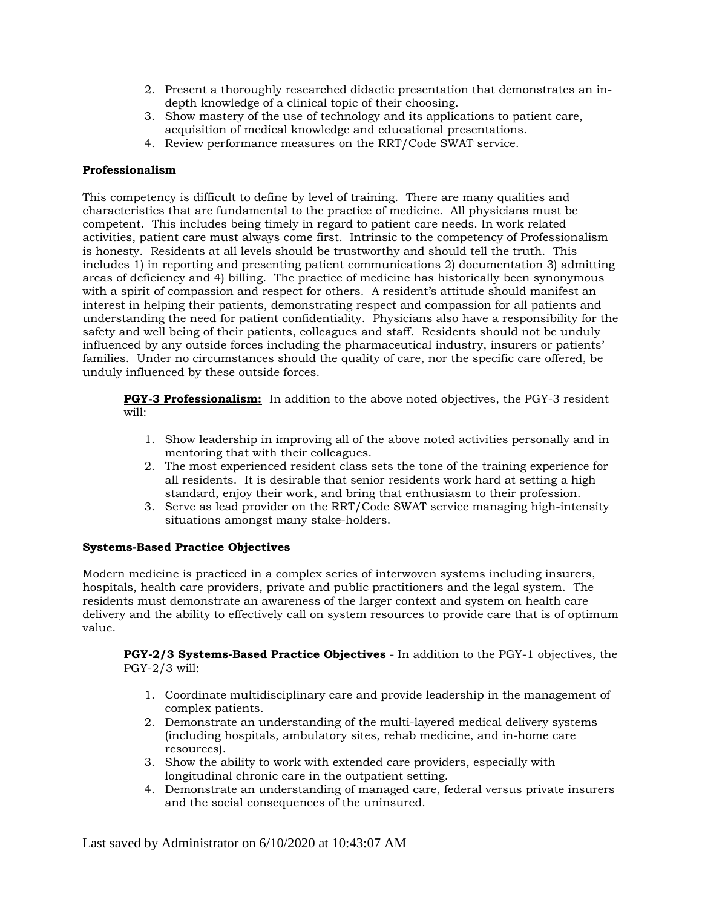- 2. Present a thoroughly researched didactic presentation that demonstrates an indepth knowledge of a clinical topic of their choosing.
- 3. Show mastery of the use of technology and its applications to patient care, acquisition of medical knowledge and educational presentations.
- 4. Review performance measures on the RRT/Code SWAT service.

#### **Professionalism**

This competency is difficult to define by level of training. There are many qualities and characteristics that are fundamental to the practice of medicine. All physicians must be competent. This includes being timely in regard to patient care needs. In work related activities, patient care must always come first. Intrinsic to the competency of Professionalism is honesty. Residents at all levels should be trustworthy and should tell the truth. This includes 1) in reporting and presenting patient communications 2) documentation 3) admitting areas of deficiency and 4) billing. The practice of medicine has historically been synonymous with a spirit of compassion and respect for others. A resident's attitude should manifest an interest in helping their patients, demonstrating respect and compassion for all patients and understanding the need for patient confidentiality. Physicians also have a responsibility for the safety and well being of their patients, colleagues and staff. Residents should not be unduly influenced by any outside forces including the pharmaceutical industry, insurers or patients' families. Under no circumstances should the quality of care, nor the specific care offered, be unduly influenced by these outside forces.

**PGY-3 Professionalism:** In addition to the above noted objectives, the PGY-3 resident will:

- 1. Show leadership in improving all of the above noted activities personally and in mentoring that with their colleagues.
- 2. The most experienced resident class sets the tone of the training experience for all residents. It is desirable that senior residents work hard at setting a high standard, enjoy their work, and bring that enthusiasm to their profession.
- 3. Serve as lead provider on the RRT/Code SWAT service managing high-intensity situations amongst many stake-holders.

#### **Systems-Based Practice Objectives**

Modern medicine is practiced in a complex series of interwoven systems including insurers, hospitals, health care providers, private and public practitioners and the legal system. The residents must demonstrate an awareness of the larger context and system on health care delivery and the ability to effectively call on system resources to provide care that is of optimum value.

**PGY-2/3 Systems-Based Practice Objectives** - In addition to the PGY-1 objectives, the PGY-2/3 will:

- 1. Coordinate multidisciplinary care and provide leadership in the management of complex patients.
- 2. Demonstrate an understanding of the multi-layered medical delivery systems (including hospitals, ambulatory sites, rehab medicine, and in-home care resources).
- 3. Show the ability to work with extended care providers, especially with longitudinal chronic care in the outpatient setting.
- 4. Demonstrate an understanding of managed care, federal versus private insurers and the social consequences of the uninsured.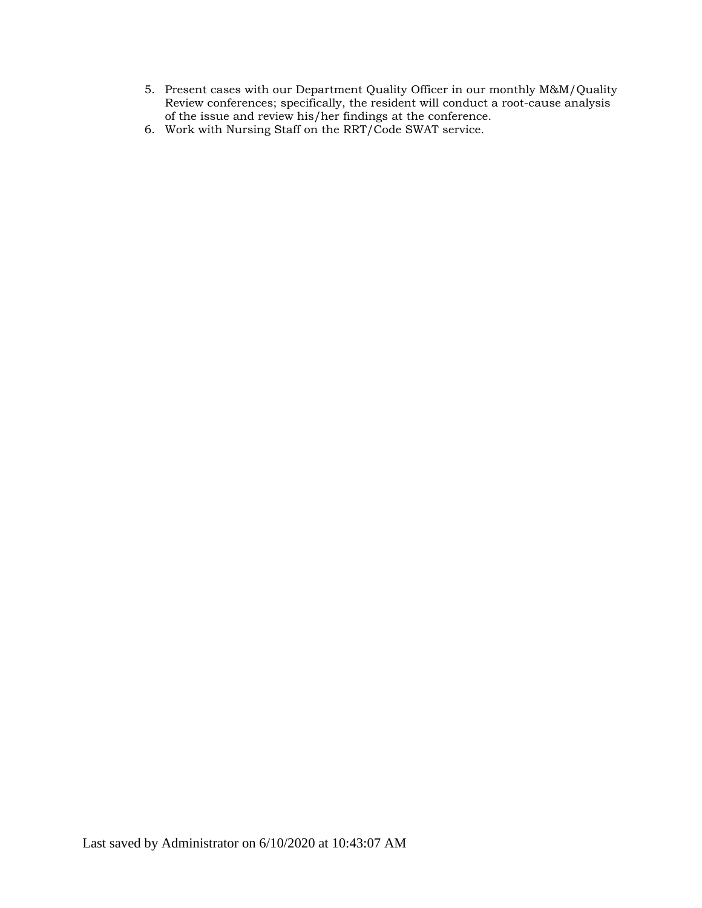- 5. Present cases with our Department Quality Officer in our monthly M&M/Quality Review conferences; specifically, the resident will conduct a root-cause analysis of the issue and review his/her findings at the conference.
- 6. Work with Nursing Staff on the RRT/Code SWAT service.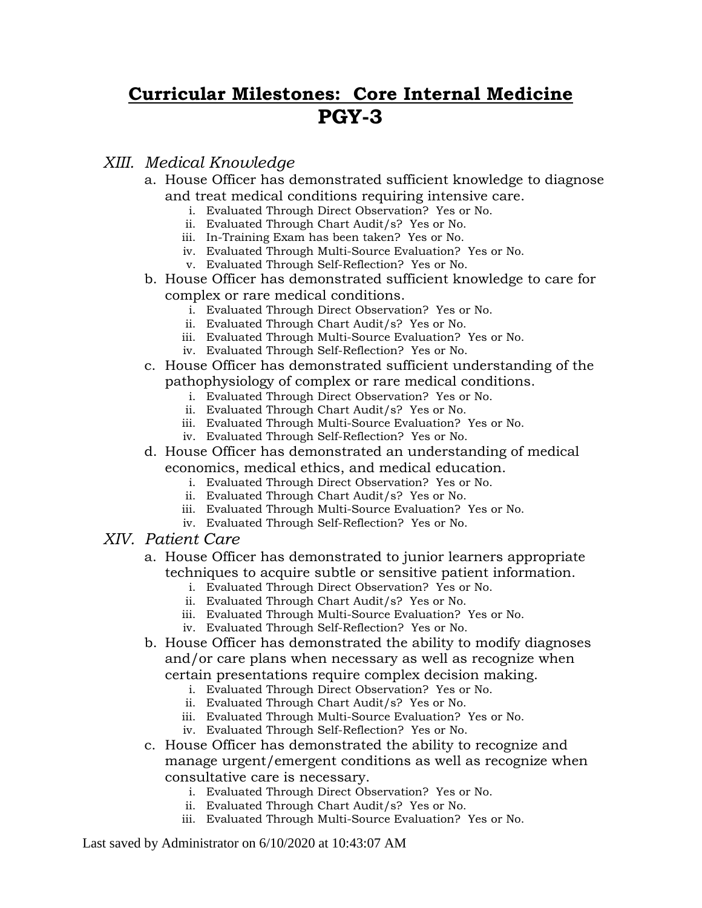# **Curricular Milestones: Core Internal Medicine PGY-3**

### *XIII. Medical Knowledge*

- a. House Officer has demonstrated sufficient knowledge to diagnose and treat medical conditions requiring intensive care.
	- i. Evaluated Through Direct Observation? Yes or No.
	- ii. Evaluated Through Chart Audit/s? Yes or No.
	- iii. In-Training Exam has been taken? Yes or No.
	- iv. Evaluated Through Multi-Source Evaluation? Yes or No.
	- v. Evaluated Through Self-Reflection? Yes or No.
- b. House Officer has demonstrated sufficient knowledge to care for complex or rare medical conditions.
	- i. Evaluated Through Direct Observation? Yes or No.
	- ii. Evaluated Through Chart Audit/s? Yes or No.
	- iii. Evaluated Through Multi-Source Evaluation? Yes or No.
	- iv. Evaluated Through Self-Reflection? Yes or No.
- c. House Officer has demonstrated sufficient understanding of the pathophysiology of complex or rare medical conditions.
	- i. Evaluated Through Direct Observation? Yes or No.
	- ii. Evaluated Through Chart Audit/s? Yes or No.
	- iii. Evaluated Through Multi-Source Evaluation? Yes or No.
	- iv. Evaluated Through Self-Reflection? Yes or No.
- d. House Officer has demonstrated an understanding of medical economics, medical ethics, and medical education.
	- i. Evaluated Through Direct Observation? Yes or No.
	- ii. Evaluated Through Chart Audit/s? Yes or No.
	- iii. Evaluated Through Multi-Source Evaluation? Yes or No.
	- iv. Evaluated Through Self-Reflection? Yes or No.
- *XIV. Patient Care*

#### a. House Officer has demonstrated to junior learners appropriate techniques to acquire subtle or sensitive patient information.

- i. Evaluated Through Direct Observation? Yes or No.
- ii. Evaluated Through Chart Audit/s? Yes or No.
- iii. Evaluated Through Multi-Source Evaluation? Yes or No.
- iv. Evaluated Through Self-Reflection? Yes or No.
- b. House Officer has demonstrated the ability to modify diagnoses and/or care plans when necessary as well as recognize when certain presentations require complex decision making.
	- i. Evaluated Through Direct Observation? Yes or No.
	- ii. Evaluated Through Chart Audit/s? Yes or No.
	- iii. Evaluated Through Multi-Source Evaluation? Yes or No.
	- iv. Evaluated Through Self-Reflection? Yes or No.
- c. House Officer has demonstrated the ability to recognize and manage urgent/emergent conditions as well as recognize when consultative care is necessary.
	- i. Evaluated Through Direct Observation? Yes or No.
	- ii. Evaluated Through Chart Audit/s? Yes or No.
	- iii. Evaluated Through Multi-Source Evaluation? Yes or No.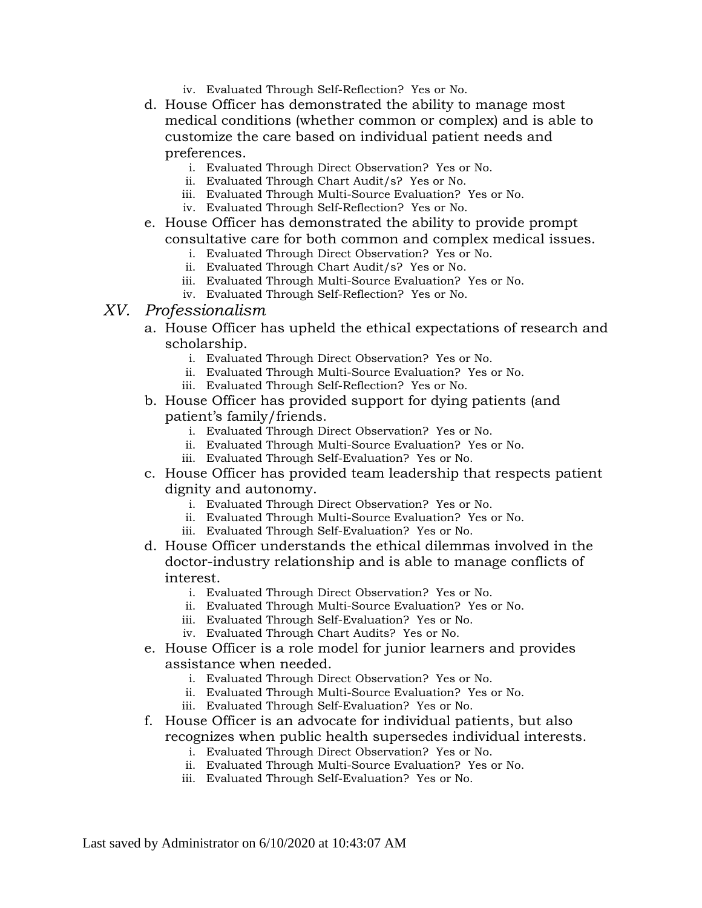- iv. Evaluated Through Self-Reflection? Yes or No.
- d. House Officer has demonstrated the ability to manage most medical conditions (whether common or complex) and is able to customize the care based on individual patient needs and preferences.
	- i. Evaluated Through Direct Observation? Yes or No.
	- ii. Evaluated Through Chart Audit/s? Yes or No.
	- iii. Evaluated Through Multi-Source Evaluation? Yes or No.
	- iv. Evaluated Through Self-Reflection? Yes or No.
- e. House Officer has demonstrated the ability to provide prompt consultative care for both common and complex medical issues.
	- i. Evaluated Through Direct Observation? Yes or No.
	- ii. Evaluated Through Chart Audit/s? Yes or No.
	- iii. Evaluated Through Multi-Source Evaluation? Yes or No.
	- iv. Evaluated Through Self-Reflection? Yes or No.

#### *XV. Professionalism*

- a. House Officer has upheld the ethical expectations of research and scholarship.
	- i. Evaluated Through Direct Observation? Yes or No.
	- ii. Evaluated Through Multi-Source Evaluation? Yes or No.
	- iii. Evaluated Through Self-Reflection? Yes or No.
- b. House Officer has provided support for dying patients (and patient's family/friends.
	- i. Evaluated Through Direct Observation? Yes or No.
	- ii. Evaluated Through Multi-Source Evaluation? Yes or No.
	- iii. Evaluated Through Self-Evaluation? Yes or No.
- c. House Officer has provided team leadership that respects patient dignity and autonomy.
	- i. Evaluated Through Direct Observation? Yes or No.
	- ii. Evaluated Through Multi-Source Evaluation? Yes or No.
	- iii. Evaluated Through Self-Evaluation? Yes or No.
- d. House Officer understands the ethical dilemmas involved in the doctor-industry relationship and is able to manage conflicts of interest.
	- i. Evaluated Through Direct Observation? Yes or No.
	- ii. Evaluated Through Multi-Source Evaluation? Yes or No.
	- iii. Evaluated Through Self-Evaluation? Yes or No.
	- iv. Evaluated Through Chart Audits? Yes or No.
- e. House Officer is a role model for junior learners and provides assistance when needed.
	- i. Evaluated Through Direct Observation? Yes or No.
	- ii. Evaluated Through Multi-Source Evaluation? Yes or No.
	- iii. Evaluated Through Self-Evaluation? Yes or No.
- f. House Officer is an advocate for individual patients, but also recognizes when public health supersedes individual interests.
	- i. Evaluated Through Direct Observation? Yes or No.
	- ii. Evaluated Through Multi-Source Evaluation? Yes or No.
	- iii. Evaluated Through Self-Evaluation? Yes or No.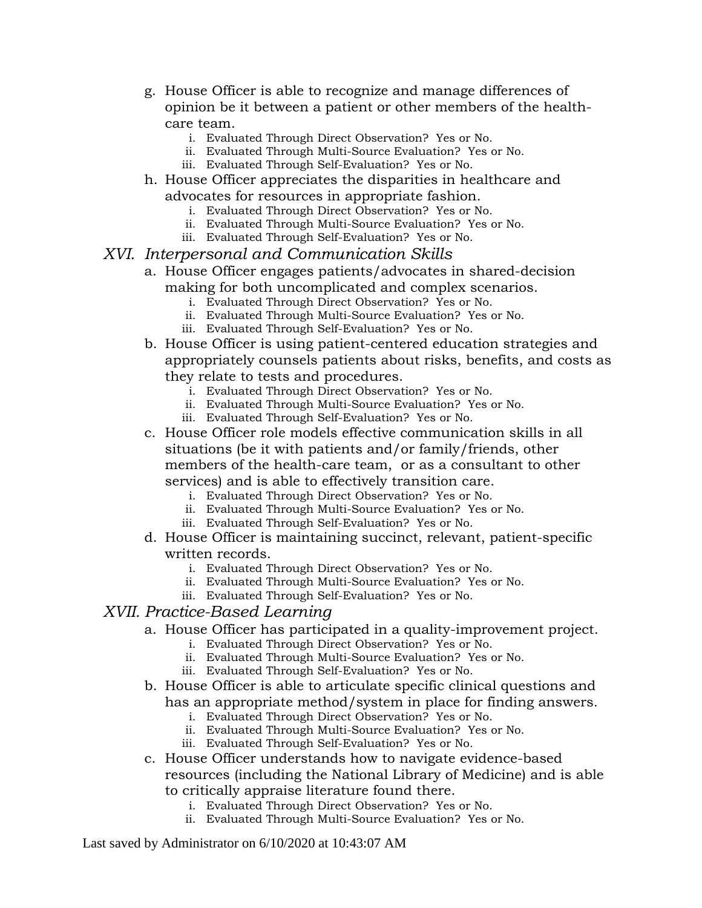- g. House Officer is able to recognize and manage differences of opinion be it between a patient or other members of the healthcare team.
	- i. Evaluated Through Direct Observation? Yes or No.
	- ii. Evaluated Through Multi-Source Evaluation? Yes or No.
	- iii. Evaluated Through Self-Evaluation? Yes or No.
- h. House Officer appreciates the disparities in healthcare and advocates for resources in appropriate fashion.
	- i. Evaluated Through Direct Observation? Yes or No.
	- ii. Evaluated Through Multi-Source Evaluation? Yes or No.
	- iii. Evaluated Through Self-Evaluation? Yes or No.
- *XVI. Interpersonal and Communication Skills*
	- a. House Officer engages patients/advocates in shared-decision making for both uncomplicated and complex scenarios.
		- i. Evaluated Through Direct Observation? Yes or No.
		- ii. Evaluated Through Multi-Source Evaluation? Yes or No.
		- iii. Evaluated Through Self-Evaluation? Yes or No.
	- b. House Officer is using patient-centered education strategies and appropriately counsels patients about risks, benefits, and costs as they relate to tests and procedures.
		- i. Evaluated Through Direct Observation? Yes or No.
		- ii. Evaluated Through Multi-Source Evaluation? Yes or No.
		- iii. Evaluated Through Self-Evaluation? Yes or No.
	- c. House Officer role models effective communication skills in all situations (be it with patients and/or family/friends, other members of the health-care team, or as a consultant to other services) and is able to effectively transition care.
		- i. Evaluated Through Direct Observation? Yes or No.
		- ii. Evaluated Through Multi-Source Evaluation? Yes or No.
		- iii. Evaluated Through Self-Evaluation? Yes or No.
	- d. House Officer is maintaining succinct, relevant, patient-specific written records.
		- i. Evaluated Through Direct Observation? Yes or No.
		- ii. Evaluated Through Multi-Source Evaluation? Yes or No.
		- iii. Evaluated Through Self-Evaluation? Yes or No.

#### *XVII. Practice-Based Learning*

- a. House Officer has participated in a quality-improvement project.
	- i. Evaluated Through Direct Observation? Yes or No.
	- ii. Evaluated Through Multi-Source Evaluation? Yes or No.
	- iii. Evaluated Through Self-Evaluation? Yes or No.
- b. House Officer is able to articulate specific clinical questions and has an appropriate method/system in place for finding answers.
	- i. Evaluated Through Direct Observation? Yes or No.
	- ii. Evaluated Through Multi-Source Evaluation? Yes or No.
	- iii. Evaluated Through Self-Evaluation? Yes or No.
- c. House Officer understands how to navigate evidence-based resources (including the National Library of Medicine) and is able to critically appraise literature found there.
	- i. Evaluated Through Direct Observation? Yes or No.
	- ii. Evaluated Through Multi-Source Evaluation? Yes or No.